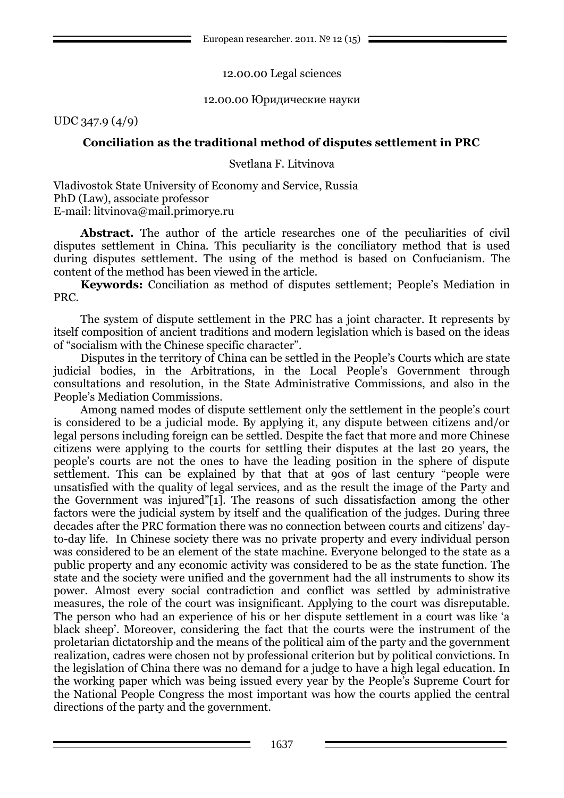### 12.00.00 Legal sciences

#### 12.00.00 Юридические науки

UDC 347.9 (4/9)

# **Conciliation as the traditional method of disputes settlement in PRC**

Svetlana F. Litvinova

Vladivostok State University of Economy and Service, Russia PhD (Law), associate professor E-mail: litvinova@mail.primorye.ru

Abstract. The author of the article researches one of the peculiarities of civil disputes settlement in China. This peculiarity is the conciliatory method that is used during disputes settlement. The using of the method is based on Confucianism. The content of the method has been viewed in the article.

**Keywords:** Conciliation as method of disputes settlement; People's Mediation in PRC.

The system of dispute settlement in the PRC has a joint character. It represents by itself composition of ancient traditions and modern legislation which is based on the ideas of "socialism with the Chinese specific character".

Disputes in the territory of China can be settled in the People's Courts which are state judicial bodies, in the Arbitrations, in the Local People's Government through consultations and resolution, in the State Administrative Commissions, and also in the People's Mediation Commissions.

Among named modes of dispute settlement only the settlement in the people's court is considered to be a judicial mode. By applying it, any dispute between citizens and/or legal persons including foreign can be settled. Despite the fact that more and more Chinese citizens were applying to the courts for settling their disputes at the last 20 years, the people's courts are not the ones to have the leading position in the sphere of dispute settlement. This can be explained by that that at 90s of last century "people were unsatisfied with the quality of legal services, and as the result the image of the Party and the Government was injured"[1]. The reasons of such dissatisfaction among the other factors were the judicial system by itself and the qualification of the judges. During three decades after the PRC formation there was no connection between courts and citizens' dayto-day life. In Chinese society there was no private property and every individual person was considered to be an element of the state machine. Everyone belonged to the state as a public property and any economic activity was considered to be as the state function. The state and the society were unified and the government had the all instruments to show its power. Almost every social contradiction and conflict was settled by administrative measures, the role of the court was insignificant. Applying to the court was disreputable. The person who had an experience of his or her dispute settlement in a court was like 'a black sheep'. Moreover, considering the fact that the courts were the instrument of the proletarian dictatorship and the means of the political aim of the party and the government realization, cadres were chosen not by professional criterion but by political convictions. In the legislation of China there was no demand for a judge to have a high legal education. In the working paper which was being issued every year by the People's Supreme Court for the National People Congress the most important was how the courts applied the central directions of the party and the government.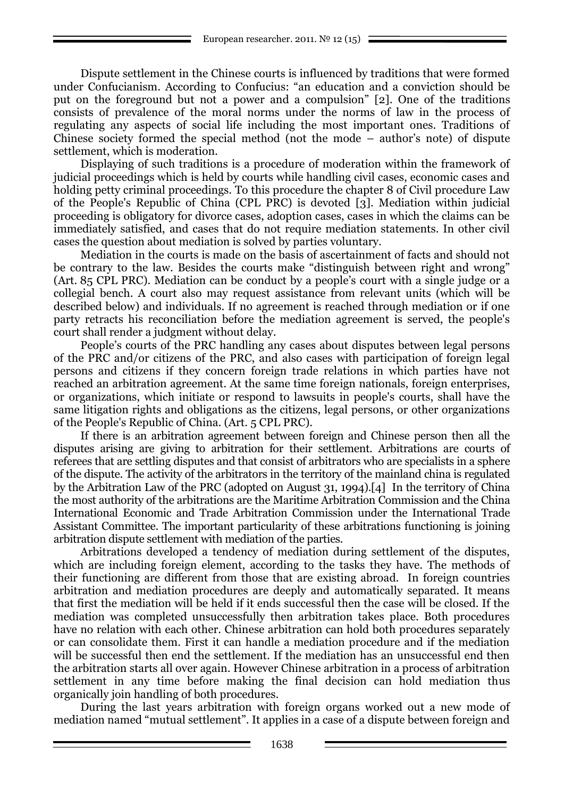Dispute settlement in the Chinese courts is influenced by traditions that were formed under Confucianism. According to Confucius: "an education and a conviction should be put on the foreground but not a power and a compulsion" [2]. One of the traditions consists of prevalence of the moral norms under the norms of law in the process of regulating any aspects of social life including the most important ones. Traditions of Chinese society formed the special method (not the mode – author's note) of dispute settlement, which is moderation.

Displaying of such traditions is a procedure of moderation within the framework of judicial proceedings which is held by courts while handling civil cases, economic cases and holding petty criminal proceedings. To this procedure the chapter 8 of Civil procedure Law of the People's Republic of China (CPL PRC) is devoted [3]. Mediation within judicial proceeding is obligatory for divorce cases, adoption cases, cases in which the claims can be immediately satisfied, and cases that do not require mediation statements. In other civil cases the question about mediation is solved by parties voluntary.

Mediation in the courts is made on the basis of ascertainment of facts and should not be contrary to the law. Besides the courts make "distinguish between right and wrong" (Art. 85 CPL PRC). Mediation can be conduct by a people's court with a single judge or a collegial bench. A court also may request assistance from relevant units (which will be described below) and individuals. If no agreement is reached through mediation or if one party retracts his reconciliation before the mediation agreement is served, the people's court shall render a judgment without delay.

People's courts of the PRC handling any cases about disputes between legal persons of the PRC and/or citizens of the PRC, and also cases with participation of foreign legal persons and citizens if they concern foreign trade relations in which parties have not reached an arbitration agreement. At the same time foreign nationals, foreign enterprises, or organizations, which initiate or respond to lawsuits in people's courts, shall have the same litigation rights and obligations as the citizens, legal persons, or other organizations of the People's Republic of China. (Art. 5 CPL PRC).

If there is an arbitration agreement between foreign and Chinese person then all the disputes arising are giving to arbitration for their settlement. Arbitrations are courts of referees that are settling disputes and that consist of arbitrators who are specialists in a sphere of the dispute. The activity of the arbitrators in the territory of the mainland china is regulated by the Arbitration Law of the PRC (adopted on August 31, 1994).[4] In the territory of China the most authority of the arbitrations are the Maritime Arbitration Commission and the China International Economic and Trade Arbitration Commission under the International Trade Assistant Committee. The important particularity of these arbitrations functioning is joining arbitration dispute settlement with mediation of the parties.

Arbitrations developed a tendency of mediation during settlement of the disputes, which are including foreign element, according to the tasks they have. The methods of their functioning are different from those that are existing abroad. In foreign countries arbitration and mediation procedures are deeply and automatically separated. It means that first the mediation will be held if it ends successful then the case will be closed. If the mediation was completed unsuccessfully then arbitration takes place. Both procedures have no relation with each other. Chinese arbitration can hold both procedures separately or can consolidate them. First it can handle a mediation procedure and if the mediation will be successful then end the settlement. If the mediation has an unsuccessful end then the arbitration starts all over again. However Chinese arbitration in a process of arbitration settlement in any time before making the final decision can hold mediation thus organically join handling of both procedures.

During the last years arbitration with foreign organs worked out a new mode of mediation named "mutual settlement". It applies in a case of a dispute between foreign and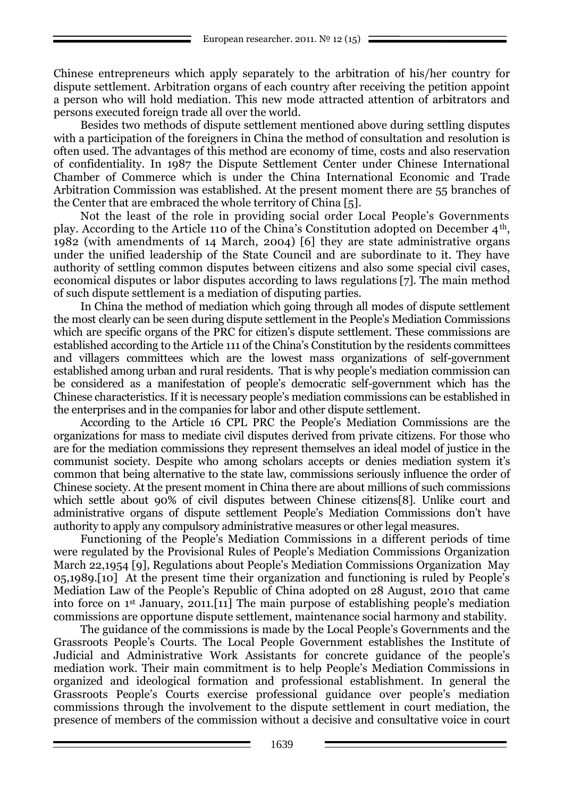Chinese entrepreneurs which apply separately to the arbitration of his/her country for dispute settlement. Arbitration organs of each country after receiving the petition appoint a person who will hold mediation. This new mode attracted attention of arbitrators and persons executed foreign trade all over the world.

Besides two methods of dispute settlement mentioned above during settling disputes with a participation of the foreigners in China the method of consultation and resolution is often used. The advantages of this method are economy of time, costs and also reservation of confidentiality. In 1987 the Dispute Settlement Center under Chinese International Chamber of Commerce which is under the China International Economic and Trade Arbitration Commission was established. At the present moment there are 55 branches of the Center that are embraced the whole territory of China [5].

Not the least of the role in providing social order Local People's Governments play. According to the Article 110 of the China's Constitution adopted on December 4th, 1982 (with amendments of 14 March, 2004) [6] they are state administrative organs under the unified leadership of the State Council and are subordinate to it. They have authority of settling common disputes between citizens and also some special civil cases, economical disputes or labor disputes according to laws regulations [7]. The main method of such dispute settlement is a mediation of disputing parties.

In China the method of mediation which going through all modes of dispute settlement the most clearly can be seen during dispute settlement in the People's Mediation Commissions which are specific organs of the PRC for citizen's dispute settlement. These commissions are established according to the Article 111 of the China's Constitution by the residents committees and villagers committees which are the lowest mass organizations of self-government established among urban and rural residents. That is why people's mediation commission can be considered as a manifestation of people's democratic self-government which has the Chinese characteristics. If it is necessary people's mediation commissions can be established in the enterprises and in the companies for labor and other dispute settlement.

According to the Article 16 CPL PRC the People's Mediation Commissions are the organizations for mass to mediate civil disputes derived from private citizens. For those who are for the mediation commissions they represent themselves an ideal model of justice in the communist society. Despite who among scholars accepts or denies mediation system it's common that being alternative to the state law, commissions seriously influence the order of Chinese society. At the present moment in China there are about millions of such commissions which settle about 90% of civil disputes between Chinese citizens[8]. Unlike court and administrative organs of dispute settlement People's Mediation Commissions don't have authority to apply any compulsory administrative measures or other legal measures.

Functioning of the People's Mediation Commissions in a different periods of time were regulated by the Provisional Rules of People's Mediation Commissions Organization March 22,1954 [9], Regulations about People's Mediation Commissions Organization May 05,1989.[10] At the present time their organization and functioning is ruled by People's Mediation Law of the People's Republic of China adopted on 28 August, 2010 that came into force on 1st January, 2011.[11] The main purpose of establishing people's mediation commissions are opportune dispute settlement, maintenance social harmony and stability.

The guidance of the commissions is made by the Local People's Governments and the Grassroots People's Courts. The Local People Government establishes the Institute of Judicial and Administrative Work Assistants for concrete guidance of the people's mediation work. Their main commitment is to help People's Mediation Commissions in organized and ideological formation and professional establishment. In general the Grassroots People's Courts exercise professional guidance over people's mediation commissions through the involvement to the dispute settlement in court mediation, the presence of members of the commission without a decisive and consultative voice in court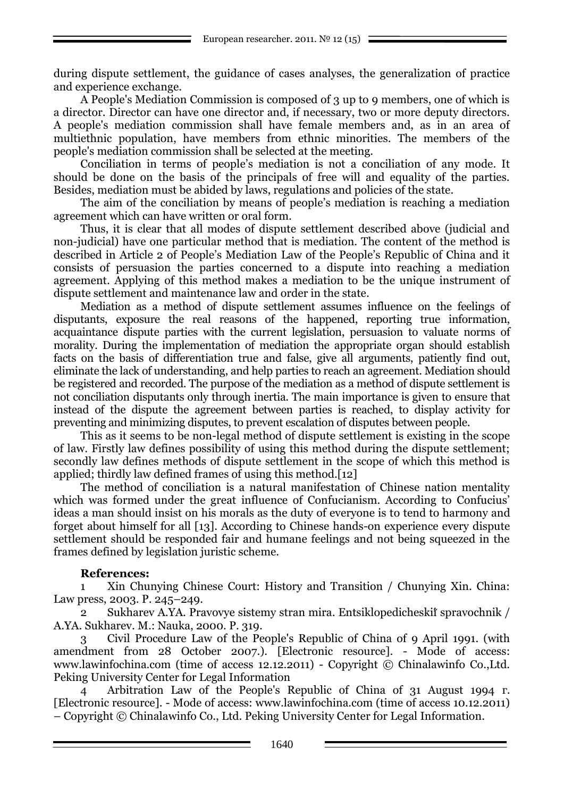during dispute settlement, the guidance of cases analyses, the generalization of practice and experience exchange.

A People's Mediation Commission is composed of 3 up to 9 members, one of which is a director. Director can have one director and, if necessary, two or more deputy directors. A people's mediation commission shall have female members and, as in an area of multiethnic population, have members from ethnic minorities. The members of the people's mediation commission shall be selected at the meeting.

Conciliation in terms of people's mediation is not a conciliation of any mode. It should be done on the basis of the principals of free will and equality of the parties. Besides, mediation must be abided by laws, regulations and policies of the state.

The aim of the conciliation by means of people's mediation is reaching a mediation agreement which can have written or oral form.

Thus, it is clear that all modes of dispute settlement described above (judicial and non-judicial) have one particular method that is mediation. The content of the method is described in Article 2 of People's Mediation Law of the People's Republic of China and it consists of persuasion the parties concerned to a dispute into reaching a mediation agreement. Applying of this method makes a mediation to be the unique instrument of dispute settlement and maintenance law and order in the state.

Mediation as a method of dispute settlement assumes influence on the feelings of disputants, exposure the real reasons of the happened, reporting true information, acquaintance dispute parties with the current legislation, persuasion to valuate norms of morality. During the implementation of mediation the appropriate organ should establish facts on the basis of differentiation true and false, give all arguments, patiently find out, eliminate the lack of understanding, and help parties to reach an agreement. Mediation should be registered and recorded. The purpose of the mediation as a method of dispute settlement is not conciliation disputants only through inertia. The main importance is given to ensure that instead of the dispute the agreement between parties is reached, to display activity for preventing and minimizing disputes, to prevent escalation of disputes between people.

This as it seems to be non-legal method of dispute settlement is existing in the scope of law. Firstly law defines possibility of using this method during the dispute settlement; secondly law defines methods of dispute settlement in the scope of which this method is applied; thirdly law defined frames of using this method.[12]

The method of conciliation is a natural manifestation of Chinese nation mentality which was formed under the great influence of Confucianism. According to Confucius' ideas a man should insist on his morals as the duty of everyone is to tend to harmony and forget about himself for all [13]. According to Chinese hands-on experience every dispute settlement should be responded fair and humane feelings and not being squeezed in the frames defined by legislation juristic scheme.

#### **References:**

1 Xin Chunying Chinese Court: History and Transition / Chunying Xin. China: Law press, 2003. P. 245–249.

2 Sukharev A.YA. Pravovye sistemy stran mira. Entsiklopedicheskii spravochnik / A.YA. Sukharev. M.: Nauka, 2000. P. 319.

3 Civil Procedure Law of the People's Republic of China of 9 April 1991. (with amendment from 28 October 2007.). [Electronic resource]. - Mode of access: www.lawinfochina.com (time of access 12.12.2011) - Copyright © Chinalawinfo Co.,Ltd. Peking University Center for Legal Information

4 Arbitration Law of the People's Republic of China of 31 August 1994 г. [Electronic resource]. - Mode of access: www.lawinfochina.com (time of access 10.12.2011) – Copyright © Chinalawinfo Co., Ltd. Peking University Center for Legal Information.